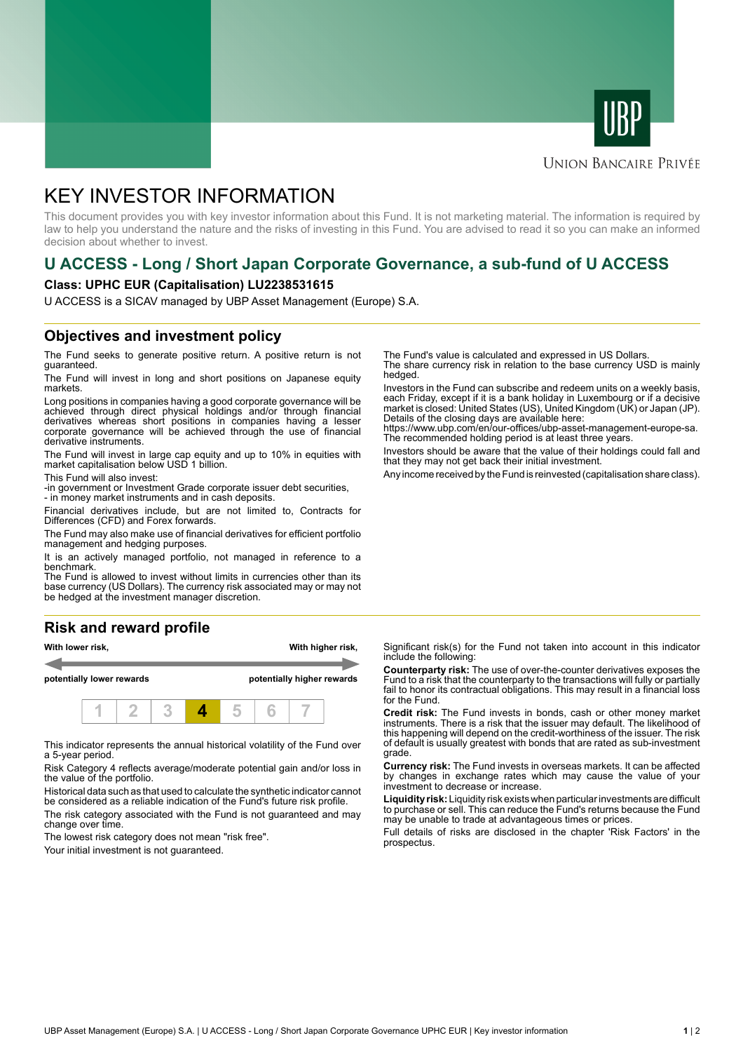



### **UNION BANCAIRE PRIVÉE**

# KEY INVESTOR INFORMATION

This document provides you with key investor information about this Fund. It is not marketing material. The information is required by law to help you understand the nature and the risks of investing in this Fund. You are advised to read it so you can make an informed decision about whether to invest.

# **U ACCESS - Long / Short Japan Corporate Governance, a sub-fund of U ACCESS**

#### **Class: UPHC EUR (Capitalisation) LU2238531615**

U ACCESS is a SICAV managed by UBP Asset Management (Europe) S.A.

## **Objectives and investment policy**

The Fund seeks to generate positive return. A positive return is not guaranteed.

The Fund will invest in long and short positions on Japanese equity markets.

Long positions in companies having a good corporate governance will be achieved through direct physical holdings and/or through financial derivatives whereas short positions in companies having a lesser corporate governance will be achieved through the use of financial derivative instruments.

The Fund will invest in large cap equity and up to 10% in equities with market capitalisation below USD 1 billion.

This Fund will also invest:

-in government or Investment Grade corporate issuer debt securities,

- in money market instruments and in cash deposits.

Financial derivatives include, but are not limited to, Contracts for Differences (CFD) and Forex forwards.

The Fund may also make use of financial derivatives for efficient portfolio management and hedging purposes.

It is an actively managed portfolio, not managed in reference to a benchmark.

The Fund is allowed to invest without limits in currencies other than its base currency (US Dollars). The currency risk associated may or may not be hedged at the investment manager discretion.

### **Risk and reward profile**



This indicator represents the annual historical volatility of the Fund over a 5-year period.

Risk Category 4 reflects average/moderate potential gain and/or loss in the value of the portfolio.

Historical data such as that used to calculate the synthetic indicator cannot be considered as a reliable indication of the Fund's future risk profile.

The risk category associated with the Fund is not guaranteed and may change over time.

The lowest risk category does not mean "risk free".

Your initial investment is not guaranteed.

The Fund's value is calculated and expressed in US Dollars. The share currency risk in relation to the base currency USD is mainly

hedged. Investors in the Fund can subscribe and redeem units on a weekly basis,

each Friday, except if it is a bank holiday in Luxembourg or if a decisive market is closed: United States (US), United Kingdom (UK) or Japan (JP). Details of the closing days are available here:

https://www.ubp.com/en/our-offices/ubp-asset-management-europe-sa. The recommended holding period is at least three years.

Investors should be aware that the value of their holdings could fall and that they may not get back their initial investment.

Any income received by the Fund is reinvested (capitalisation share class).

Significant risk(s) for the Fund not taken into account in this indicator include the following:

**Counterparty risk:** The use of over-the-counter derivatives exposes the Fund to a risk that the counterparty to the transactions will fully or partially fail to honor its contractual obligations. This may result in a financial loss for the Fund.

**Credit risk:** The Fund invests in bonds, cash or other money market instruments. There is a risk that the issuer may default. The likelihood of this happening will depend on the credit-worthiness of the issuer. The risk of default is usually greatest with bonds that are rated as sub-investment grade.

**Currency risk:** The Fund invests in overseas markets. It can be affected by changes in exchange rates which may cause the value of your investment to decrease or increase.

**Liquidity risk:** Liquidity risk exists when particular investments are difficult to purchase or sell. This can reduce the Fund's returns because the Fund may be unable to trade at advantageous times or prices.

Full details of risks are disclosed in the chapter 'Risk Factors' in the prospectus.